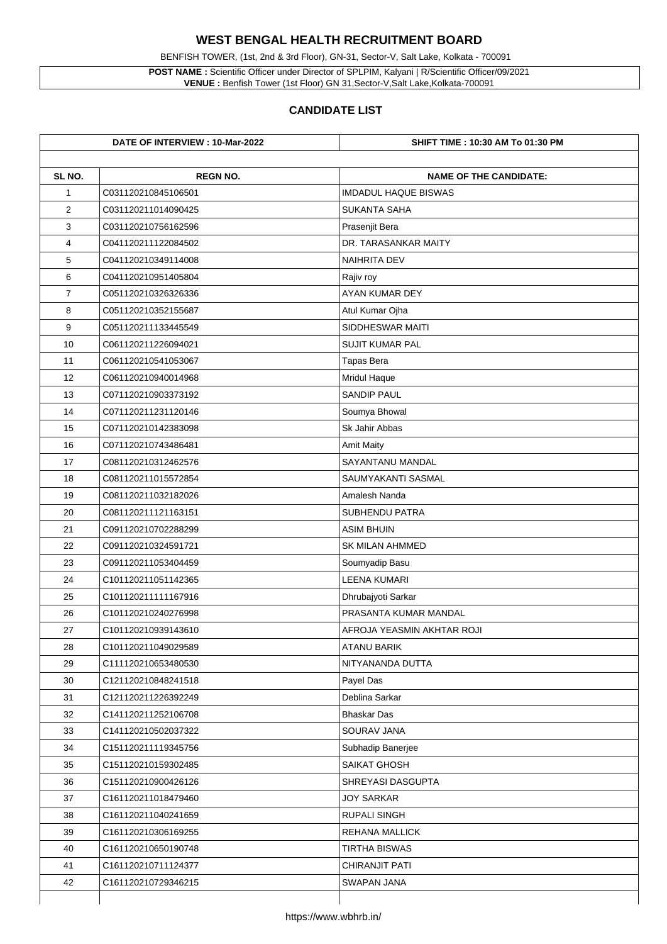## **WEST BENGAL HEALTH RECRUITMENT BOARD**

BENFISH TOWER, (1st, 2nd & 3rd Floor), GN-31, Sector-V, Salt Lake, Kolkata - 700091

**POST NAME :** Scientific Officer under Director of SPLPIM, Kalyani | R/Scientific Officer/09/2021 **VENUE :** Benfish Tower (1st Floor) GN 31,Sector-V,Salt Lake,Kolkata-700091

## **CANDIDATE LIST**

| DATE OF INTERVIEW : 10-Mar-2022 |                     | <b>SHIFT TIME : 10:30 AM To 01:30 PM</b> |
|---------------------------------|---------------------|------------------------------------------|
| SL NO.                          | <b>REGN NO.</b>     | <b>NAME OF THE CANDIDATE:</b>            |
| 1                               | C031120210845106501 | <b>IMDADUL HAQUE BISWAS</b>              |
| $\overline{2}$                  | C031120211014090425 | <b>SUKANTA SAHA</b>                      |
| 3                               | C031120210756162596 | Prasenjit Bera                           |
| 4                               | C041120211122084502 | DR. TARASANKAR MAITY                     |
| 5                               | C041120210349114008 | <b>NAIHRITA DEV</b>                      |
| 6                               | C041120210951405804 | Rajiv roy                                |
| $\overline{7}$                  | C051120210326326336 | AYAN KUMAR DEY                           |
| 8                               | C051120210352155687 | Atul Kumar Ojha                          |
| 9                               | C051120211133445549 | <b>SIDDHESWAR MAITI</b>                  |
| 10                              | C061120211226094021 | <b>SUJIT KUMAR PAL</b>                   |
| 11                              | C061120210541053067 | <b>Tapas Bera</b>                        |
| 12                              | C061120210940014968 | <b>Mridul Haque</b>                      |
| 13                              | C071120210903373192 | <b>SANDIP PAUL</b>                       |
| 14                              | C071120211231120146 | Soumya Bhowal                            |
| 15                              | C071120210142383098 | <b>Sk Jahir Abbas</b>                    |
| 16                              | C071120210743486481 | <b>Amit Maity</b>                        |
| 17                              | C081120210312462576 | <b>SAYANTANU MANDAL</b>                  |
| 18                              | C081120211015572854 | SAUMYAKANTI SASMAL                       |
| 19                              | C081120211032182026 | <b>Amalesh Nanda</b>                     |
| 20                              | C081120211121163151 | <b>SUBHENDU PATRA</b>                    |
| 21                              | C091120210702288299 | <b>ASIM BHUIN</b>                        |
| 22                              | C091120210324591721 | <b>SK MILAN AHMMED</b>                   |
| 23                              | C091120211053404459 | Soumyadip Basu                           |
| 24                              | C101120211051142365 | <b>LEENA KUMARI</b>                      |
| 25                              | C101120211111167916 | Dhrubajyoti Sarkar                       |
| 26                              | C101120210240276998 | PRASANTA KUMAR MANDAL                    |
| 27                              | C101120210939143610 | AFROJA YEASMIN AKHTAR ROJI               |
| 28                              | C101120211049029589 | <b>ATANU BARIK</b>                       |
| 29                              | C111120210653480530 | NITYANANDA DUTTA                         |
| 30                              | C121120210848241518 | Payel Das                                |
| 31                              | C121120211226392249 | Deblina Sarkar                           |
| 32                              | C141120211252106708 | <b>Bhaskar Das</b>                       |
| 33                              | C141120210502037322 | <b>SOURAV JANA</b>                       |
| 34                              | C151120211119345756 | <b>Subhadip Banerjee</b>                 |
| 35                              | C151120210159302485 | <b>SAIKAT GHOSH</b>                      |
| 36                              | C151120210900426126 | <b>SHREYASI DASGUPTA</b>                 |
| 37                              | C161120211018479460 | <b>JOY SARKAR</b>                        |
| 38                              | C161120211040241659 | <b>RUPALI SINGH</b>                      |
| 39                              | C161120210306169255 | <b>REHANA MALLICK</b>                    |
| 40                              | C161120210650190748 | <b>TIRTHA BISWAS</b>                     |
| 41                              | C161120210711124377 | <b>CHIRANJIT PATI</b>                    |
| 42                              | C161120210729346215 | <b>SWAPAN JANA</b>                       |